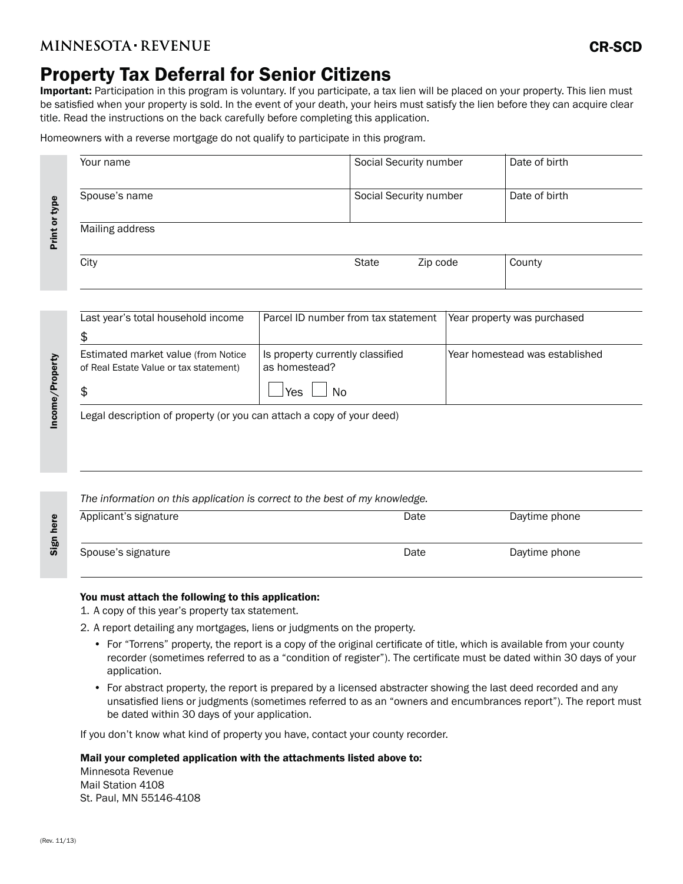#### **MINNESOTA REVENUE**

## Property Tax Deferral for Senior Citizens

Important: Participation in this program is voluntary. If you participate, a tax lien will be placed on your property. This lien must be satisfied when your property is sold. In the event of your death, your heirs must satisfy the lien before they can acquire clear title. Read the instructions on the back carefully before completing this application.

Homeowners with a reverse mortgage do not qualify to participate in this program.

| Your name       | Social Security number | Date of birth |
|-----------------|------------------------|---------------|
| Spouse's name   | Social Security number | Date of birth |
| Mailing address |                        |               |
| City            | State<br>Zip code      | County        |

| Last year's total household income                                            | Parcel ID number from tax statement               | Year property was purchased    |
|-------------------------------------------------------------------------------|---------------------------------------------------|--------------------------------|
|                                                                               |                                                   |                                |
| Estimated market value (from Notice<br>of Real Estate Value or tax statement) | Is property currently classified<br>as homestead? | Year homestead was established |
|                                                                               | Yes.<br>Nο                                        |                                |

Legal description of property (or you can attach a copy of your deed)

*The information on this application is correct to the best of my knowledge.*

|                       | _    |               |  |
|-----------------------|------|---------------|--|
| Applicant's signature | Date | Daytime phone |  |
| Spouse's signature    | Date | Daytime phone |  |

#### You must attach the following to this application:

1. A copy of this year's property tax statement.

2. A report detailing any mortgages, liens or judgments on the property.

- For "Torrens" property, the report is a copy of the original certificate of title, which is available from your county recorder (sometimes referred to as a "condition of register"). The certificate must be dated within 30 days of your application.
- For abstract property, the report is prepared by a licensed abstracter showing the last deed recorded and any unsatisfied liens or judgments (sometimes referred to as an "owners and encumbrances report"). The report must be dated within 30 days of your application.

If you don't know what kind of property you have, contact your county recorder.

Mail your completed application with the attachments listed above to:

Minnesota Revenue Mail Station 4108 St. Paul, MN 55146-4108

Income/Property

Income/Property